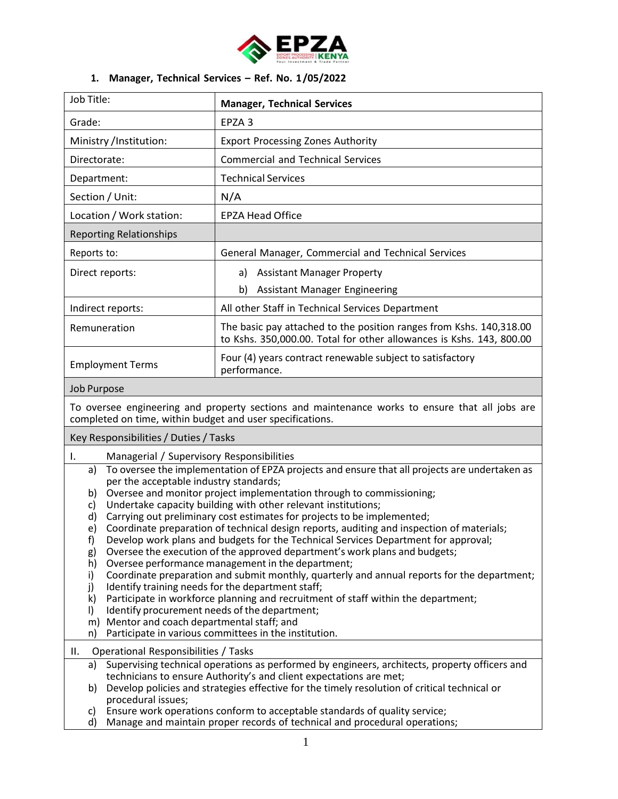

## **1. Manager, Technical Services – Ref. No. 1/05/2022**

| Job Title:                     | <b>Manager, Technical Services</b>                                                                                                          |
|--------------------------------|---------------------------------------------------------------------------------------------------------------------------------------------|
| Grade:                         | EPZA <sub>3</sub>                                                                                                                           |
| Ministry /Institution:         | <b>Export Processing Zones Authority</b>                                                                                                    |
| Directorate:                   | <b>Commercial and Technical Services</b>                                                                                                    |
| Department:                    | <b>Technical Services</b>                                                                                                                   |
| Section / Unit:                | N/A                                                                                                                                         |
| Location / Work station:       | <b>EPZA Head Office</b>                                                                                                                     |
| <b>Reporting Relationships</b> |                                                                                                                                             |
| Reports to:                    | General Manager, Commercial and Technical Services                                                                                          |
| Direct reports:                | <b>Assistant Manager Property</b><br>a)                                                                                                     |
|                                | b)<br><b>Assistant Manager Engineering</b>                                                                                                  |
| Indirect reports:              | All other Staff in Technical Services Department                                                                                            |
| Remuneration                   | The basic pay attached to the position ranges from Kshs. 140,318.00<br>to Kshs. 350,000.00. Total for other allowances is Kshs. 143, 800.00 |
| <b>Employment Terms</b>        | Four (4) years contract renewable subject to satisfactory<br>performance.                                                                   |

#### Job Purpose

To oversee engineering and property sections and maintenance works to ensure that all jobs are completed on time, within budget and user specifications.

Key Responsibilities/ Duties/ Tasks

- I. Managerial / Supervisory Responsibilities
	- a) To oversee the implementation of EPZA projects and ensure that all projects are undertaken as per the acceptable industry standards;
	- b) Oversee and monitor project implementation through to commissioning;
	- c) Undertake capacity building with other relevant institutions;
	- d) Carrying out preliminary cost estimates for projects to be implemented;
	- e) Coordinate preparation of technical design reports, auditing and inspection of materials;
	- f) Develop work plans and budgets for the Technical Services Department for approval;
	- g) Oversee the execution of the approved department's work plans and budgets;
	- h) Oversee performance management in the department;
	- i) Coordinate preparation and submit monthly, quarterly and annual reports for the department;
	- j) Identify training needs for the department staff;
	- k) Participate in workforce planning and recruitment of staff within the department;
	- l) Identify procurement needs of the department;
	- m) Mentor and coach departmental staff; and
	- n) Participate in various committees in the institution.
- II. Operational Responsibilities / Tasks
	- a) Supervising technical operations as performed by engineers, architects, property officers and technicians to ensure Authority's and client expectations are met;
	- b) Develop policies and strategies effective for the timely resolution of critical technical or procedural issues;
	- c) Ensure work operations conform to acceptable standards of quality service;
	- d) Manage and maintain proper records of technical and procedural operations;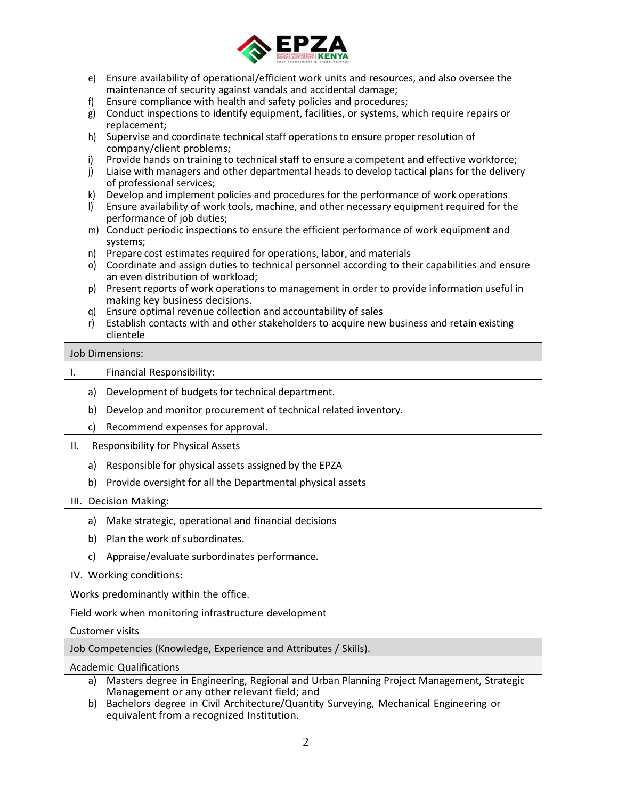

|    | e)            | Ensure availability of operational/efficient work units and resources, and also oversee the<br>maintenance of security against vandals and accidental damage;                      |
|----|---------------|------------------------------------------------------------------------------------------------------------------------------------------------------------------------------------|
|    | f)            | Ensure compliance with health and safety policies and procedures;                                                                                                                  |
|    | g)            | Conduct inspections to identify equipment, facilities, or systems, which require repairs or                                                                                        |
|    | h)            | replacement;<br>Supervise and coordinate technical staff operations to ensure proper resolution of                                                                                 |
|    |               | company/client problems;                                                                                                                                                           |
|    | i)            | Provide hands on training to technical staff to ensure a competent and effective workforce;                                                                                        |
|    | j)            | Liaise with managers and other departmental heads to develop tactical plans for the delivery                                                                                       |
|    |               | of professional services;                                                                                                                                                          |
|    | k)<br>$\vert$ | Develop and implement policies and procedures for the performance of work operations<br>Ensure availability of work tools, machine, and other necessary equipment required for the |
|    |               | performance of job duties;                                                                                                                                                         |
|    | m)            | Conduct periodic inspections to ensure the efficient performance of work equipment and                                                                                             |
|    |               | systems;                                                                                                                                                                           |
|    | n)            | Prepare cost estimates required for operations, labor, and materials                                                                                                               |
|    | o)            | Coordinate and assign duties to technical personnel according to their capabilities and ensure                                                                                     |
|    |               | an even distribution of workload;                                                                                                                                                  |
|    | p)            | Present reports of work operations to management in order to provide information useful in                                                                                         |
|    |               | making key business decisions.                                                                                                                                                     |
|    | q)            | Ensure optimal revenue collection and accountability of sales<br>Establish contacts with and other stakeholders to acquire new business and retain existing                        |
|    | r)            | clientele                                                                                                                                                                          |
|    |               |                                                                                                                                                                                    |
|    |               | <b>Job Dimensions:</b>                                                                                                                                                             |
| Ι. |               | Financial Responsibility:                                                                                                                                                          |
|    | a)            | Development of budgets for technical department.                                                                                                                                   |
|    | b)            | Develop and monitor procurement of technical related inventory.                                                                                                                    |
|    | c)            | Recommend expenses for approval.                                                                                                                                                   |
| Ш. |               | <b>Responsibility for Physical Assets</b>                                                                                                                                          |
|    | a)            | Responsible for physical assets assigned by the EPZA                                                                                                                               |
|    | b)            | Provide oversight for all the Departmental physical assets                                                                                                                         |
|    |               | III. Decision Making:                                                                                                                                                              |
|    |               | a) Make strategic, operational and financial decisions                                                                                                                             |
|    | b)            | Plan the work of subordinates.                                                                                                                                                     |
|    | C)            | Appraise/evaluate surbordinates performance.                                                                                                                                       |
|    |               |                                                                                                                                                                                    |
|    |               | IV. Working conditions:                                                                                                                                                            |
|    |               | Works predominantly within the office.                                                                                                                                             |
|    |               | Field work when monitoring infrastructure development                                                                                                                              |
|    |               | <b>Customer visits</b>                                                                                                                                                             |
|    |               | Job Competencies (Knowledge, Experience and Attributes / Skills).                                                                                                                  |
|    |               | <b>Academic Qualifications</b>                                                                                                                                                     |
|    | a)            | Masters degree in Engineering, Regional and Urban Planning Project Management, Strategic                                                                                           |
|    |               | Management or any other relevant field; and                                                                                                                                        |
|    | b)            | Bachelors degree in Civil Architecture/Quantity Surveying, Mechanical Engineering or                                                                                               |
|    |               | equivalent from a recognized Institution.                                                                                                                                          |
|    |               | 2                                                                                                                                                                                  |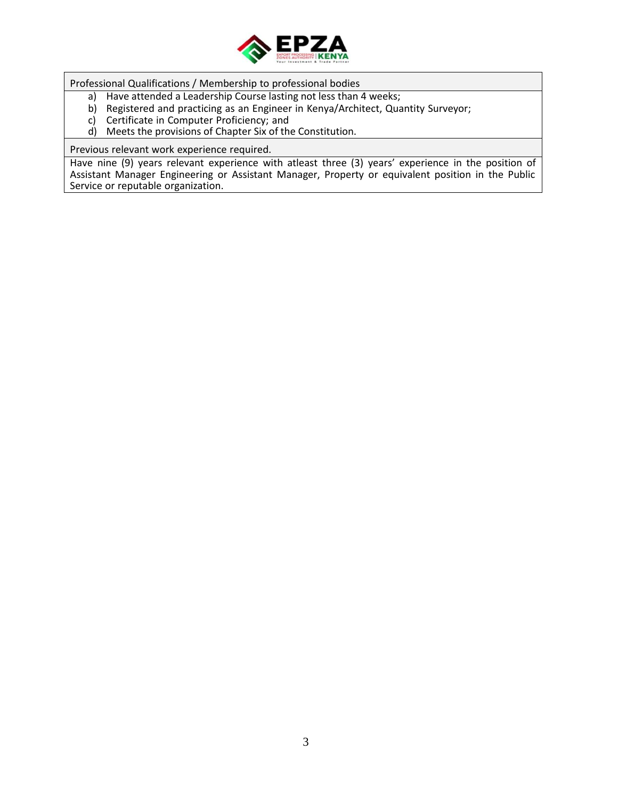

Professional Qualifications / Membership to professional bodies

- a) Have attended a Leadership Course lasting not less than 4 weeks;
- b) Registered and practicing as an Engineer in Kenya/Architect, Quantity Surveyor;
- c) Certificate in Computer Proficiency; and
- d) Meets the provisions of Chapter Six of the Constitution.

Previous relevant work experience required.

Have nine (9) years relevant experience with atleast three (3) years' experience in the position of Assistant Manager Engineering or Assistant Manager, Property or equivalent position in the Public Service or reputable organization.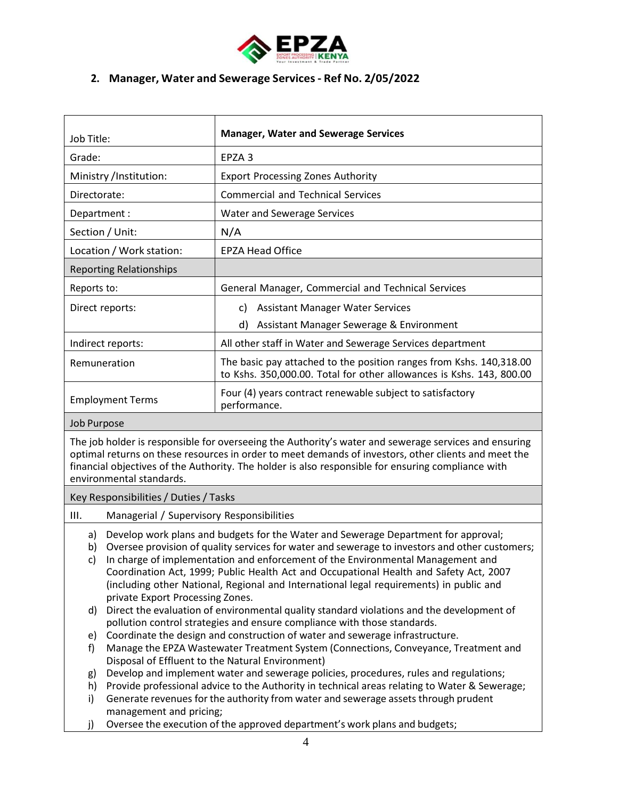

## **2. Manager, Water and Sewerage Services- Ref No. 2/05/2022**

| Job Title:                     | <b>Manager, Water and Sewerage Services</b>                                                                                                 |
|--------------------------------|---------------------------------------------------------------------------------------------------------------------------------------------|
| Grade:                         | EPZA <sub>3</sub>                                                                                                                           |
| Ministry /Institution:         | <b>Export Processing Zones Authority</b>                                                                                                    |
| Directorate:                   | <b>Commercial and Technical Services</b>                                                                                                    |
| Department :                   | <b>Water and Sewerage Services</b>                                                                                                          |
| Section / Unit:                | N/A                                                                                                                                         |
| Location / Work station:       | <b>EPZA Head Office</b>                                                                                                                     |
| <b>Reporting Relationships</b> |                                                                                                                                             |
| Reports to:                    | General Manager, Commercial and Technical Services                                                                                          |
| Direct reports:                | <b>Assistant Manager Water Services</b><br>C)                                                                                               |
|                                | d)<br>Assistant Manager Sewerage & Environment                                                                                              |
| Indirect reports:              | All other staff in Water and Sewerage Services department                                                                                   |
| Remuneration                   | The basic pay attached to the position ranges from Kshs. 140,318.00<br>to Kshs. 350,000.00. Total for other allowances is Kshs. 143, 800.00 |
| <b>Employment Terms</b>        | Four (4) years contract renewable subject to satisfactory<br>performance.                                                                   |

#### Job Purpose

The job holder is responsible for overseeing the Authority's water and sewerage services and ensuring optimal returns on these resources in order to meet demands of investors, other clients and meet the financial objectives of the Authority. The holder is also responsible for ensuring compliance with environmental standards.

#### Key Responsibilities/ Duties/ Tasks

- III. Managerial / Supervisory Responsibilities
	- a) Develop work plans and budgets for the Water and Sewerage Department for approval;
	- b) Oversee provision of quality services for water and sewerage to investors and other customers;
	- c) In charge of implementation and enforcement of the Environmental Management and Coordination Act, 1999; Public Health Act and Occupational Health and Safety Act, 2007 (including other National, Regional and International legal requirements) in public and private Export Processing Zones.
	- d) Direct the evaluation of environmental quality standard violations and the development of pollution control strategies and ensure compliance with those standards.
	- e) Coordinate the design and construction of water and sewerage infrastructure.
	- f) Manage the EPZA Wastewater Treatment System (Connections, Conveyance, Treatment and Disposal of Effluent to the Natural Environment)
	- g) Develop and implement water and sewerage policies, procedures, rules and regulations;
	- h) Provide professional advice to the Authority in technical areas relating to Water & Sewerage;
	- i) Generate revenues for the authority from water and sewerage assets through prudent management and pricing;
	- j) Oversee the execution of the approved department's work plans and budgets;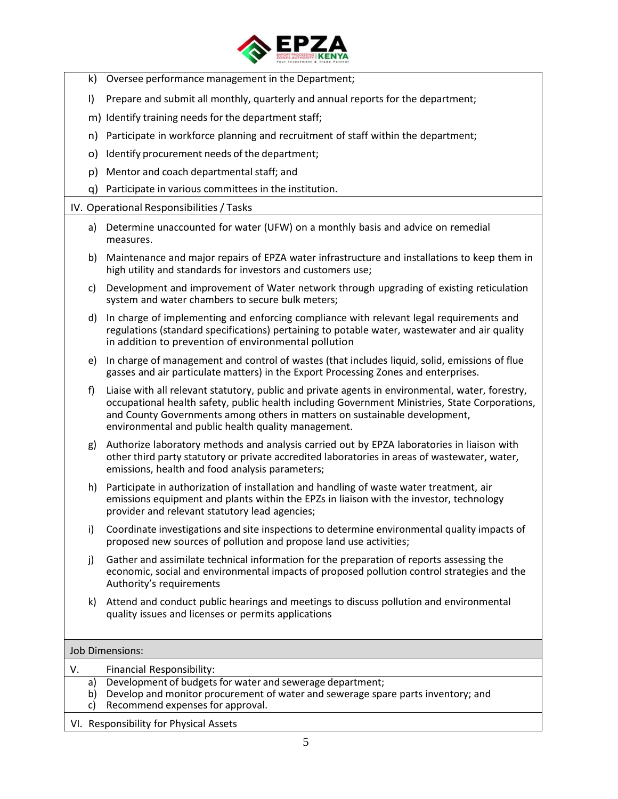

- k) Oversee performance management in the Department;
- l) Prepare and submit all monthly, quarterly and annual reports for the department;
- m) Identify training needs for the department staff;
- n) Participate in workforce planning and recruitment of staff within the department;
- o) Identify procurement needs of the department;
- p) Mentor and coach departmental staff; and
- q) Participate in various committees in the institution.

#### IV. Operational Responsibilities/ Tasks

- a) Determine unaccounted for water (UFW) on a monthly basis and advice on remedial measures.
- b) Maintenance and major repairs of EPZA water infrastructure and installations to keep them in high utility and standards for investors and customers use;
- c) Development and improvement of Water network through upgrading of existing reticulation system and water chambers to secure bulk meters;
- d) In charge of implementing and enforcing compliance with relevant legal requirements and regulations (standard specifications) pertaining to potable water, wastewater and air quality in addition to prevention of environmental pollution
- e) In charge of management and control of wastes (that includes liquid, solid, emissions of flue gasses and air particulate matters) in the Export Processing Zones and enterprises.
- f) Liaise with all relevant statutory, public and private agents in environmental, water, forestry, occupational health safety, public health including Government Ministries, State Corporations, and County Governments among others in matters on sustainable development, environmental and public health quality management.
- g) Authorize laboratory methods and analysis carried out by EPZA laboratories in liaison with other third party statutory or private accredited laboratories in areas of wastewater, water, emissions, health and food analysis parameters;
- h) Participate in authorization of installation and handling of waste water treatment, air emissions equipment and plants within the EPZs in liaison with the investor, technology provider and relevant statutory lead agencies;
- i) Coordinate investigations and site inspections to determine environmental quality impacts of proposed new sources of pollution and propose land use activities;
- j) Gather and assimilate technical information for the preparation of reports assessing the economic, social and environmental impacts of proposed pollution control strategies and the Authority's requirements
- k) Attend and conduct public hearings and meetings to discuss pollution and environmental quality issues and licenses or permits applications

#### Job Dimensions:

| V.                                     | Financial Responsibility:                                                        |
|----------------------------------------|----------------------------------------------------------------------------------|
| a)                                     | Development of budgets for water and sewerage department;                        |
| b)                                     | Develop and monitor procurement of water and sewerage spare parts inventory; and |
| C)                                     | Recommend expenses for approval.                                                 |
| VI. Responsibility for Physical Assets |                                                                                  |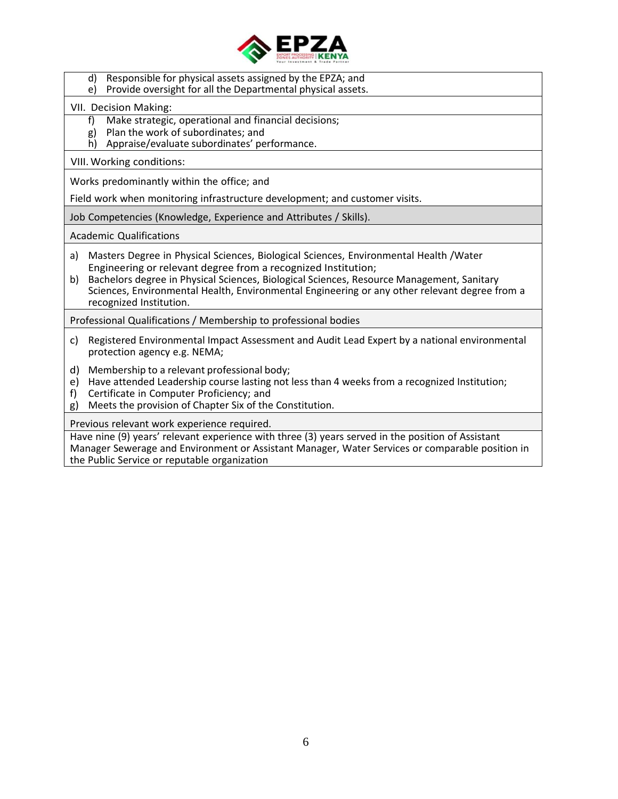

- d) Responsible for physical assets assigned by the EPZA; and
- e) Provide oversight for all the Departmental physical assets.

## VII. Decision Making:

- f) Make strategic, operational and financial decisions;
- g) Plan the work of subordinates; and
- h) Appraise/evaluate subordinates' performance.

## VIII.Working conditions:

Works predominantly within the office; and

Field work when monitoring infrastructure development; and customer visits.

Job Competencies (Knowledge, Experience and Attributes / Skills).

Academic Qualifications

- a) Masters Degree in Physical Sciences, Biological Sciences, Environmental Health /Water Engineering or relevant degree from a recognized Institution;
- b) Bachelors degree in Physical Sciences, Biological Sciences, Resource Management, Sanitary Sciences, Environmental Health, Environmental Engineering or any other relevant degree from a recognized Institution.

Professional Qualifications / Membership to professional bodies

- c) Registered Environmental Impact Assessment and Audit Lead Expert by a national environmental protection agency e.g. NEMA;
- d) Membership to a relevant professional body;
- e) Have attended Leadership course lasting not less than 4 weeks from a recognized Institution;
- f) Certificate in Computer Proficiency; and
- g) Meets the provision of Chapter Six of the Constitution.

Previous relevant work experience required.

Have nine (9) years' relevant experience with three (3) years served in the position of Assistant Manager Sewerage and Environment or Assistant Manager, Water Services or comparable position in the Public Service or reputable organization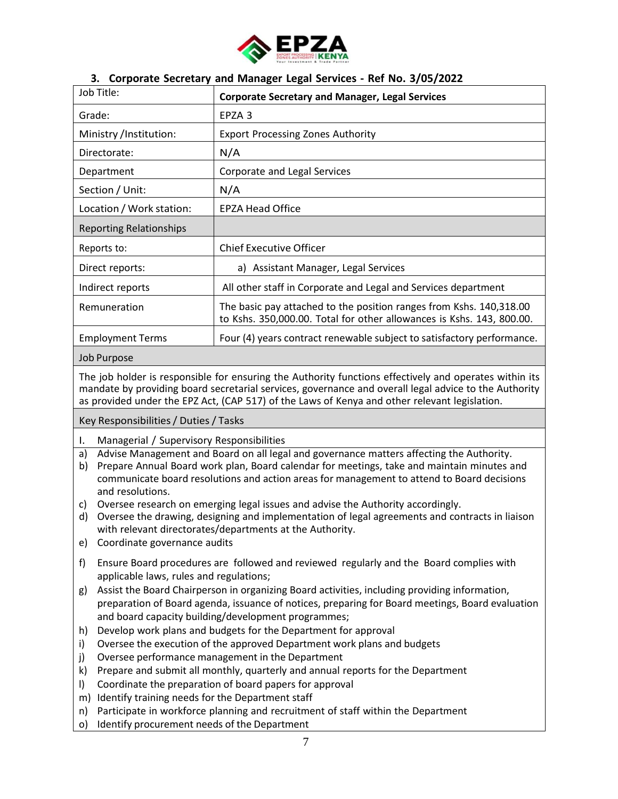

## **3. Corporate Secretary and Manager Legal Services - Ref No. 3/05/2022**

| Job Title:                     | <b>Corporate Secretary and Manager, Legal Services</b>                                                                                       |
|--------------------------------|----------------------------------------------------------------------------------------------------------------------------------------------|
| Grade:                         | EPZA 3                                                                                                                                       |
| Ministry /Institution:         | <b>Export Processing Zones Authority</b>                                                                                                     |
| Directorate:                   | N/A                                                                                                                                          |
| Department                     | Corporate and Legal Services                                                                                                                 |
| Section / Unit:                | N/A                                                                                                                                          |
| Location / Work station:       | <b>EPZA Head Office</b>                                                                                                                      |
| <b>Reporting Relationships</b> |                                                                                                                                              |
| Reports to:                    | <b>Chief Executive Officer</b>                                                                                                               |
| Direct reports:                | a) Assistant Manager, Legal Services                                                                                                         |
| Indirect reports               | All other staff in Corporate and Legal and Services department                                                                               |
| Remuneration                   | The basic pay attached to the position ranges from Kshs. 140,318.00<br>to Kshs. 350,000.00. Total for other allowances is Kshs. 143, 800.00. |
| <b>Employment Terms</b>        | Four (4) years contract renewable subject to satisfactory performance.                                                                       |

#### Job Purpose

The job holder is responsible for ensuring the Authority functions effectively and operates within its mandate by providing board secretarial services, governance and overall legal advice to the Authority as provided under the EPZ Act, (CAP 517) of the Laws of Kenya and other relevant legislation.

Key Responsibilities/ Duties/ Tasks

- I. Managerial / Supervisory Responsibilities
- a) Advise Management and Board on all legal and governance matters affecting the Authority.
- b) Prepare Annual Board work plan, Board calendar for meetings, take and maintain minutes and communicate board resolutions and action areas for management to attend to Board decisions and resolutions.
- c) Oversee research on emerging legal issues and advise the Authority accordingly.
- d) Oversee the drawing, designing and implementation of legal agreements and contracts in liaison with relevant directorates/departments at the Authority.
- e) Coordinate governance audits
- f) Ensure Board procedures are followed and reviewed regularly and the Board complies with applicable laws, rules and regulations;
- g) Assist the Board Chairperson in organizing Board activities, including providing information, preparation of Board agenda, issuance of notices, preparing for Board meetings, Board evaluation and board capacity building/development programmes;
- h) Develop work plans and budgets for the Department for approval
- i) Oversee the execution of the approved Department work plans and budgets
- j) Oversee performance management in the Department
- k) Prepare and submit all monthly, quarterly and annual reports for the Department
- l) Coordinate the preparation of board papers for approval
- m) Identify training needs for the Department staff
- n) Participate in workforce planning and recruitment of staff within the Department
- o) Identify procurement needs of the Department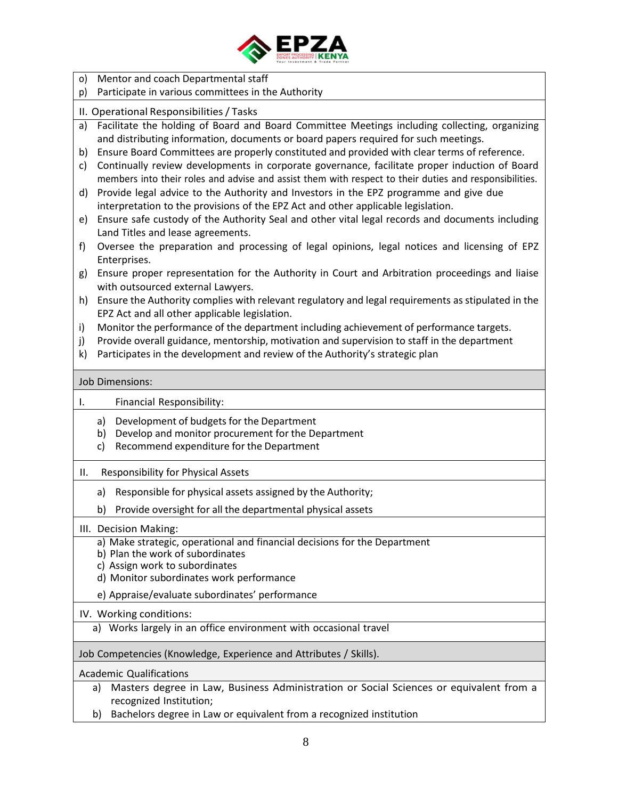

o) Mentor and coach Departmental staff p) Participate in various committees in the Authority II. Operational Responsibilities/ Tasks a) Facilitate the holding of Board and Board Committee Meetings including collecting, organizing and distributing information, documents or board papers required for such meetings. b) Ensure Board Committees are properly constituted and provided with clear terms of reference. c) Continually review developments in corporate governance, facilitate proper induction of Board members into their roles and advise and assist them with respect to their duties and responsibilities. d) Provide legal advice to the Authority and Investors in the EPZ programme and give due interpretation to the provisions of the EPZ Act and other applicable legislation. e) Ensure safe custody of the Authority Seal and other vital legal records and documents including Land Titles and lease agreements. f) Oversee the preparation and processing of legal opinions, legal notices and licensing of EPZ Enterprises. g) Ensure proper representation for the Authority in Court and Arbitration proceedings and liaise with outsourced external Lawyers. h) Ensure the Authority complies with relevant regulatory and legal requirements as stipulated in the EPZ Act and all other applicable legislation. i) Monitor the performance of the department including achievement of performance targets. j) Provide overall guidance, mentorship, motivation and supervision to staff in the department k) Participates in the development and review of the Authority's strategic plan Job Dimensions: I. Financial Responsibility: a) Development of budgets for the Department b) Develop and monitor procurement for the Department c) Recommend expenditure for the Department II. Responsibility for Physical Assets a) Responsible for physical assets assigned by the Authority; b) Provide oversight for all the departmental physical assets III. Decision Making: a) Make strategic, operational and financial decisions for the Department b) Plan the work of subordinates c) Assign work to subordinates d) Monitor subordinates work performance e) Appraise/evaluate subordinates' performance IV. Working conditions: a) Works largely in an office environment with occasional travel Job Competencies (Knowledge, Experience and Attributes / Skills). Academic Qualifications a) Masters degree in Law, Business Administration or Social Sciences or equivalent from a recognized Institution; b) Bachelors degree in Law or equivalent from a recognized institution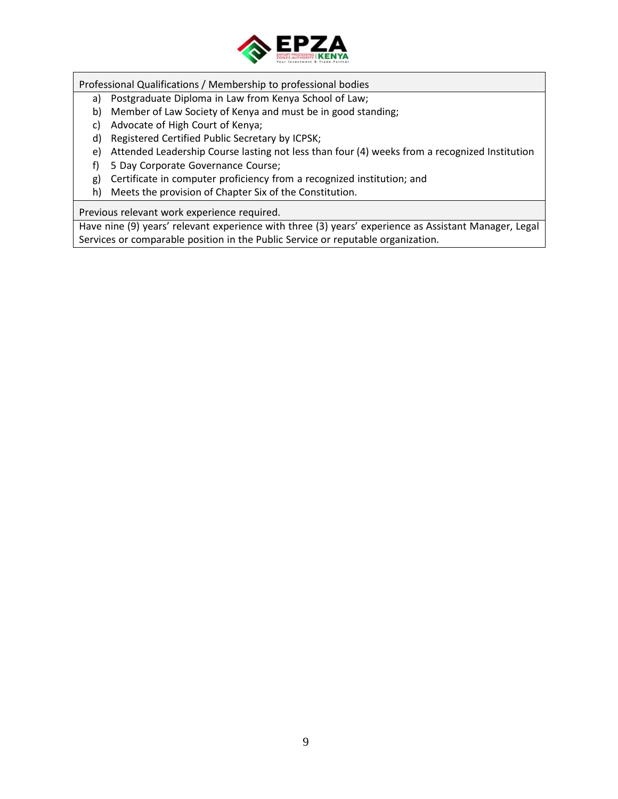

Professional Qualifications / Membership to professional bodies

- a) Postgraduate Diploma in Law from Kenya School of Law;
- b) Member of Law Society of Kenya and must be in good standing;
- c) Advocate of High Court of Kenya;
- d) Registered Certified Public Secretary by ICPSK;
- e) Attended Leadership Course lasting not less than four (4) weeks from a recognized Institution
- f) 5 Day Corporate Governance Course;
- g) Certificate in computer proficiency from a recognized institution; and
- h) Meets the provision of Chapter Six of the Constitution.

Previous relevant work experience required.

Have nine (9) years' relevant experience with three (3) years' experience as Assistant Manager, Legal Services or comparable position in the Public Service or reputable organization.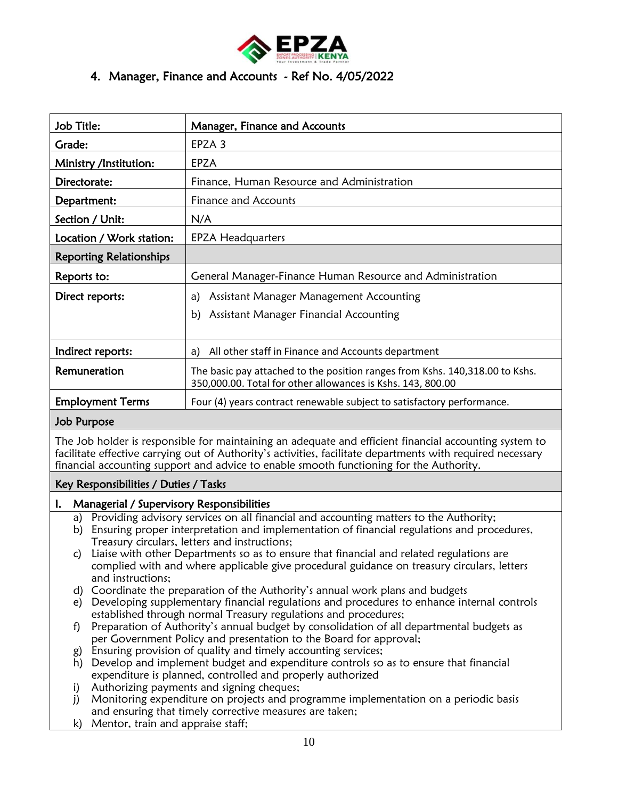

# 4. Manager, Finance and Accounts - Ref No. 4/05/2022

| Job Title:                     | Manager, Finance and Accounts                                                                                                               |
|--------------------------------|---------------------------------------------------------------------------------------------------------------------------------------------|
| Grade:                         | EPZA 3                                                                                                                                      |
| Ministry /Institution:         | EPZA                                                                                                                                        |
| Directorate:                   | Finance, Human Resource and Administration                                                                                                  |
| Department:                    | Finance and Accounts                                                                                                                        |
| Section / Unit:                | N/A                                                                                                                                         |
| Location / Work station:       | <b>EPZA Headquarters</b>                                                                                                                    |
| <b>Reporting Relationships</b> |                                                                                                                                             |
| Reports to:                    | General Manager-Finance Human Resource and Administration                                                                                   |
| Direct reports:                | Assistant Manager Management Accounting<br>a)                                                                                               |
|                                | Assistant Manager Financial Accounting<br>b)                                                                                                |
|                                |                                                                                                                                             |
| Indirect reports:              | All other staff in Finance and Accounts department<br>a)                                                                                    |
| Remuneration                   | The basic pay attached to the position ranges from Kshs. 140,318.00 to Kshs.<br>350,000.00. Total for other allowances is Kshs. 143, 800.00 |
| <b>Employment Terms</b>        | Four (4) years contract renewable subject to satisfactory performance.                                                                      |

#### Job Purpose

The Job holder is responsible for maintaining an adequate and efficient financial accounting system to facilitate effective carrying out of Authority's activities, facilitate departments with required necessary financial accounting support and advice to enable smooth functioning for the Authority.

## Key Responsibilities / Duties / Tasks

#### I. Managerial / Supervisory Responsibilities

- a) Providing advisory services on all financial and accounting matters to the Authority;
- b) Ensuring proper interpretation and implementation of financial regulations and procedures, Treasury circulars, letters and instructions;
- c) Liaise with other Departments so as to ensure that financial and related regulations are complied with and where applicable give procedural guidance on treasury circulars, letters and instructions;
- d) Coordinate the preparation of the Authority's annual work plans and budgets
- e) Developing supplementary financial regulations and procedures to enhance internal controls established through normal Treasury regulations and procedures;
- f) Preparation of Authority's annual budget by consolidation of all departmental budgets as per Government Policy and presentation to the Board for approval;
- g) Ensuring provision of quality and timely accounting services;
- h) Develop and implement budget and expenditure controls so as to ensure that financial expenditure is planned, controlled and properly authorized
- i) Authorizing payments and signing cheques;
- j) Monitoring expenditure on projects and programme implementation on a periodic basis and ensuring that timely corrective measures are taken;
- k) Mentor, train and appraise staff;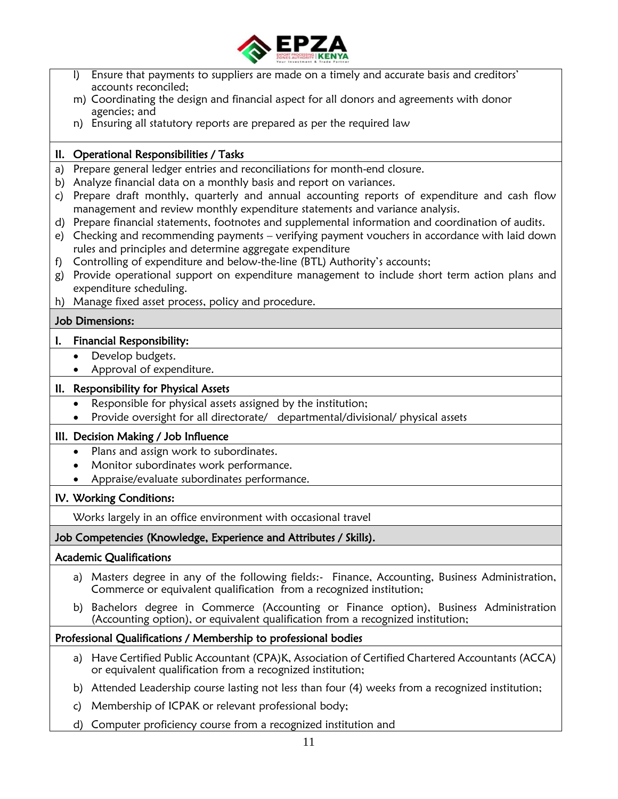

|                | Ensure that payments to suppliers are made on a timely and accurate basis and creditors'<br>$\mathsf{I}$                                                                   |
|----------------|----------------------------------------------------------------------------------------------------------------------------------------------------------------------------|
|                | accounts reconciled;<br>m) Coordinating the design and financial aspect for all donors and agreements with donor                                                           |
|                | agencies; and                                                                                                                                                              |
|                | n) Ensuring all statutory reports are prepared as per the required law                                                                                                     |
|                | II. Operational Responsibilities / Tasks                                                                                                                                   |
| a)             | Prepare general ledger entries and reconciliations for month-end closure.                                                                                                  |
| b)             | Analyze financial data on a monthly basis and report on variances.                                                                                                         |
| C)             | Prepare draft monthly, quarterly and annual accounting reports of expenditure and cash flow                                                                                |
|                | management and review monthly expenditure statements and variance analysis.                                                                                                |
| d)             | Prepare financial statements, footnotes and supplemental information and coordination of audits.                                                                           |
| e)             | Checking and recommending payments - verifying payment vouchers in accordance with laid down                                                                               |
|                | rules and principles and determine aggregate expenditure                                                                                                                   |
| f)<br>g)       | Controlling of expenditure and below-the-line (BTL) Authority's accounts;<br>Provide operational support on expenditure management to include short term action plans and  |
|                | expenditure scheduling.                                                                                                                                                    |
|                | h) Manage fixed asset process, policy and procedure.                                                                                                                       |
|                | <b>Job Dimensions:</b>                                                                                                                                                     |
| $\mathbf{l}$ . | <b>Financial Responsibility:</b>                                                                                                                                           |
|                | Develop budgets.<br>$\bullet$                                                                                                                                              |
|                | Approval of expenditure.                                                                                                                                                   |
|                | II. Responsibility for Physical Assets                                                                                                                                     |
|                | Responsible for physical assets assigned by the institution;<br>$\bullet$                                                                                                  |
|                | Provide oversight for all directorate/ departmental/divisional/ physical assets                                                                                            |
|                | III. Decision Making / Job Influence                                                                                                                                       |
|                | Plans and assign work to subordinates.<br>$\bullet$                                                                                                                        |
|                | Monitor subordinates work performance.                                                                                                                                     |
|                | Appraise/evaluate subordinates performance.                                                                                                                                |
|                | IV. Working Conditions:                                                                                                                                                    |
|                | Works largely in an office environment with occasional travel                                                                                                              |
|                | Job Competencies (Knowledge, Experience and Attributes / Skills).                                                                                                          |
|                | <b>Academic Qualifications</b>                                                                                                                                             |
|                | a) Masters degree in any of the following fields:- Finance, Accounting, Business Administration,<br>Commerce or equivalent qualification from a recognized institution;    |
|                | b) Bachelors degree in Commerce (Accounting or Finance option), Business Administration<br>(Accounting option), or equivalent qualification from a recognized institution; |
|                | Professional Qualifications / Membership to professional bodies                                                                                                            |
|                | a) Have Certified Public Accountant (CPA)K, Association of Certified Chartered Accountants (ACCA)<br>or equivalent qualification from a recognized institution;            |
|                | Attended Leadership course lasting not less than four (4) weeks from a recognized institution;<br>b)                                                                       |
|                | Membership of ICPAK or relevant professional body;<br>c)                                                                                                                   |
|                | Computer proficiency course from a recognized institution and<br>d)                                                                                                        |